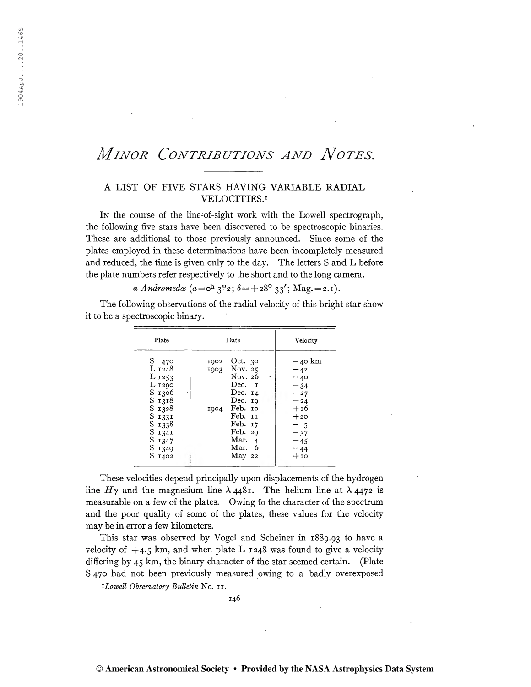## MINOR CONTRIBUTIONS AND NOTES.

## A LIST OF FIVE STARS HAVING VARIABLE RADIAL VELOCITIES.<sup>1</sup>

In the course of the line-of-sight work with the Lowell spectrograph, the following five stars have been discovered to be spectroscopic binaries. These are additional to those previously announced. Since some of the plates employed in these determinations have been incompletely measured and reduced, the time is given only to the day. The letters S and L before the plate numbers refer respectively to the short and to the long camera.

a Andromedæ  $(a = \circ^h 3^m 2; \delta = +28^{\circ} 33' ; \text{Mag.} = 2.1)$ .

The following observations of the radial velocity of this bright star show it to be a spectroscopic binary.

| Plate                                                                                                                             | Date                                                                                                                                                                                          | Velocity                                                                                                            |
|-----------------------------------------------------------------------------------------------------------------------------------|-----------------------------------------------------------------------------------------------------------------------------------------------------------------------------------------------|---------------------------------------------------------------------------------------------------------------------|
| S 470<br>L 1248<br>$L_{1253}$<br>L 1290<br>S 1306<br>S 1318<br>S 1328<br>S 1331<br>S 1338<br>S 1341<br>S 1347<br>S 1349<br>S 1402 | 1902 Oct. 30<br>1903 Nov. 25<br>Nov. 26<br>$\Phi_{\rm eff}$<br>Dec. I<br>Dec. 14<br>Dec. $19$<br>1904 Feb. 10<br>Feb. II<br>Feb. 17<br>Feb. 29<br>Mar. 4<br>Mar. 6<br>$\operatorname{May}$ 22 | $-40$ km<br>$-42$<br>$-40$<br>$-34$<br>$-27$<br>$-24$<br>$+16$<br>$+20$<br>$-5$<br>$-37$<br>$-45$<br>$-44$<br>$+10$ |
|                                                                                                                                   |                                                                                                                                                                                               |                                                                                                                     |

These velocities depend principally upon displacements of the hydrogen line  $H\gamma$  and the magnesium line  $\lambda$  4481. The helium line at  $\lambda$  4472 is measurable on a few of the plates. Owing to the character of the spectrum and the poor quality of some of the plates, these values for the velocity may be in error a few kilometers.

This star was observed by Vogel and Scheiner in 1889.93 to have a velocity of  $+4.5$  km, and when plate L  $1248$  was found to give a velocity differing by 45 km, the binary character of the star seemed certain. (Plate S 470 had not been previously measured owing to a badly overexposed

<sup>1</sup>Lowell Observatory Bulletin No. 11.

146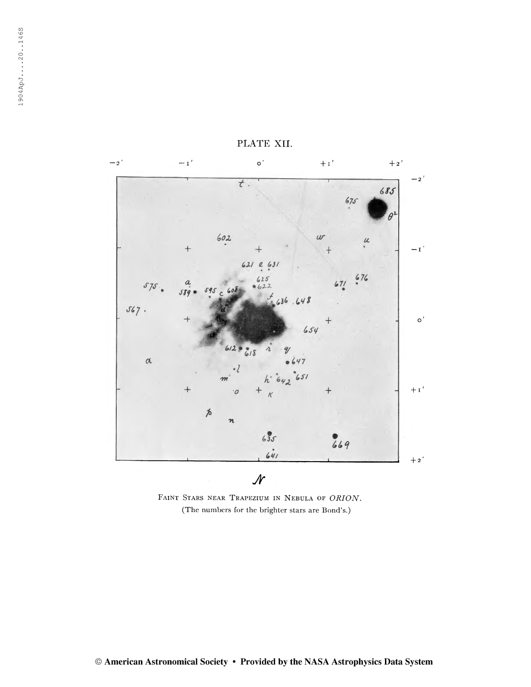

PLATE XII.

Faint Stars near Trapezium in Nebula of ORION. (The numbers for the brighter stars are Bond's.)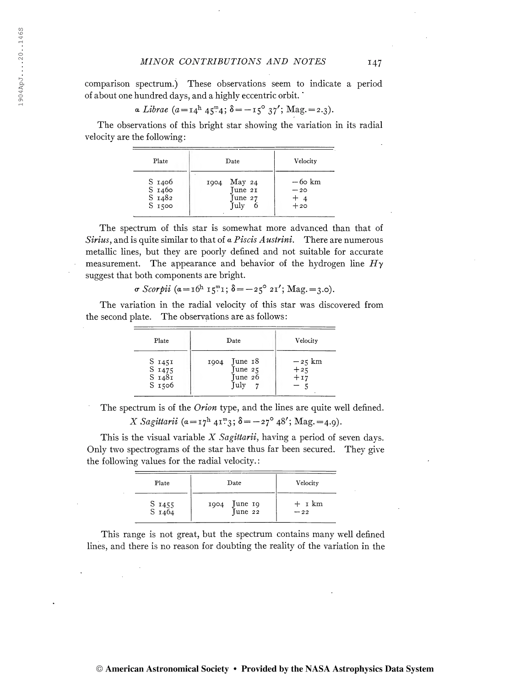## MINOR CONTRIBUTIONS AND NOTES 147

comparison spectrum.) These observations seem to indicate a period of about one hundred days, and a highly eccentric orbit. '

a Librae (a =i4<sup>h</sup> 4S<sup>m</sup> 4; <sup>S</sup> = -i5° 37'; Mag. =2.3).

The observations of this bright star showing the variation in its radial velocity are the following:

| Plate                                             | Date                                                          | Velocity                           |
|---------------------------------------------------|---------------------------------------------------------------|------------------------------------|
| S 1406<br>S <sub>1460</sub><br>S 1482<br>$S$ 1500 | $\operatorname{May}$ 24<br>1004<br>Tune 21<br>June 27<br>Tuly | $-60$ km<br>$-20$<br>$+4$<br>$+20$ |

The spectrum of this star is somewhat more advanced than that of Sirius, and is quite similar to that of  $\alpha$  Piscis Austrini. There are numerous metallic lines, but they are poorly defined and not suitable for accurate measurement. The appearance and behavior of the hydrogen line  $H<sub>\gamma</sub>$ suggest that both components are bright.

$$
\sigma \text{ Scorpii } (a = \mathbf{1}6^{\mathrm{h}} \mathbf{1}5^{\mathrm{m}} \mathbf{1}; \delta = -25^{\circ} 2\mathbf{1}'; \text{Mag.} = 3.0).
$$

The variation in the radial velocity of this star was discovered from the second plate. The observations are as follows:

| Plate                                             | Date                                          | Velocity                              |
|---------------------------------------------------|-----------------------------------------------|---------------------------------------|
| S 1451<br>$S$ 1475<br>S <sub>1481</sub><br>S 1506 | June 18<br>1904<br>June 25<br>Tune 26<br>July | $-z5$ km<br>$+2\overline{5}$<br>$+17$ |

The spectrum is of the *Orion* type, and the lines are quite well defined.

X Sagittarii 
$$
(a = \mathbf{i} \mathbf{i}^h \mathbf{4} \mathbf{i}^m \mathbf{3}; \delta = -\mathbf{2} \mathbf{i}^{\circ} \mathbf{4} \mathbf{8}'; \text{Mag.} = 4.9).
$$

This is the visual variable  $X$  Sagittarii, having a period of seven days. Only two spectrograms of the star have thus far been secured. They give the following values for the radial velocity. :

| Plate            | Date                       | Velocity          |
|------------------|----------------------------|-------------------|
| S 1455<br>S 1464 | June 19<br>June 22<br>1904 | $+$ 1 km<br>$-22$ |

This range is not great, but the spectrum contains many well defined lines, and there is no reason for doubting the reality of the variation in the